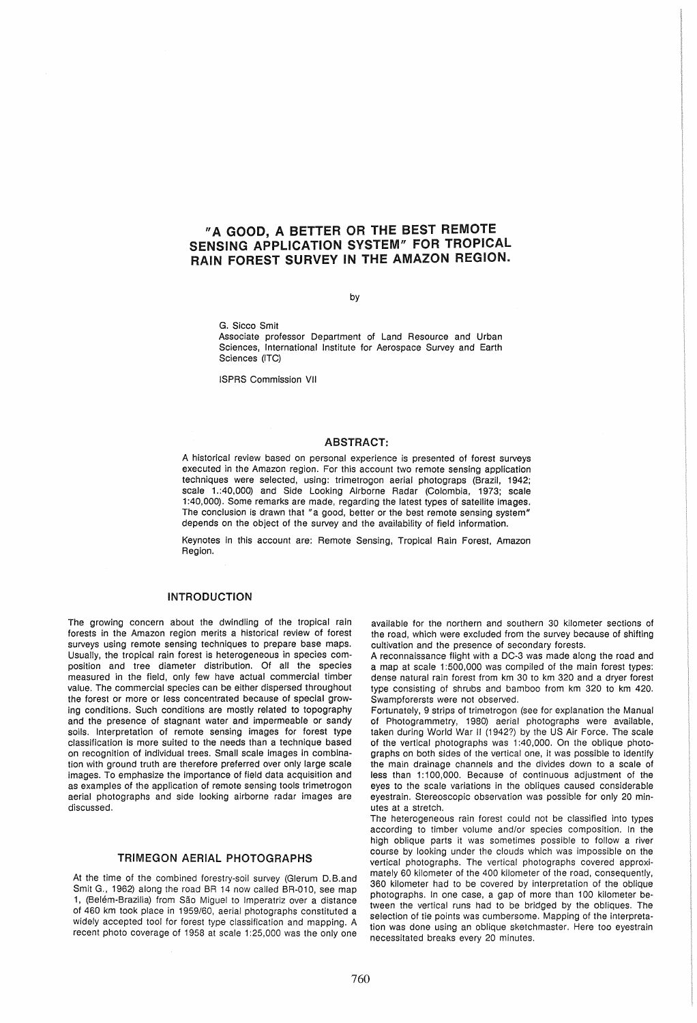# "A GOOD, A BETTER OR THE BEST REMOTE SENSING APPLICATION SYSTEM" FOR TROPICAL RAIN FOREST SURVEY IN THE AMAZON REGION.

by

G. Sicco Smit

Associate professor Department of Land Resource and Urban Sciences, International Institute for Aerospace Survey and Earth Sciences (ITC)

ISPRS Commission VII

#### ABSTRACT:

A historical review based on personal experience is presented of forest surveys executed in the Amazon region. For this account two remote sensing application techniques were selected, using: trimetrogon aerial photograps (Brazil, 1942; scale 1.:40,000) and Side Looking Airborne Radar (Colombia, 1973; scale 1 :40,000). Some remarks are made, regarding the latest types of satellite images. The conclusion is drawn that "a good, better or the best remote sensing system" depends on the object of the survey and the availability of field information.

Keynotes in this account are: Remote Sensing, Tropical Rain Forest, Amazon Region.

## INTRODUCTION

The growing concern about the dwindling of the tropical rain forests in the Amazon region merits a historical review of forest surveys using remote sensing techniques to prepare base maps. Usually, the tropical rain forest is heterogeneous in species composition and tree diameter distribution. Of all the species measured in the field, only few have actual commercial timber value. The commercial species can be either dispersed throughout the forest or more or less concentrated because of special growing conditions. Such conditions are mostly related to topography and the presence of stagnant water and impermeable or sandy soils. Interpretation of remote sensing images for forest type classification is more suited to the needs than a technique based on recognition of individual trees. Small scale images in combination with ground truth are therefore preferred over only large scale images. To emphasize the importance of field data acquisition and as examples of the application of remote sensing tools trimetrogon aerial photographs and side looking airborne radar images are discussed.

## TRIMEGON AERIAL PHOTOGRAPHS

At the time of the combined forestry-soil survey (Glerum D.B.and Smit G., 1962) along the road BR 14 now called BR-01O, see map 1, (Belém-Brazilia) from São Miguel to Imperatriz over a distance of 460 km took place in 1959/60, aerial photographs constituted a widely accepted tool for forest type classification and mapping. A recent photo coverage of 1958 at scale 1:25,000 was the only one

available for the northern and southern 30 kilometer sections of the road, which were excluded from the survey because of shifting cultivation and the presence of secondary forests.

A reconnaissance flight with a DC-3 was made along the road and a map at scale 1:500,000 was compiled of the main forest types: dense natural rain forest from km 30 to km 320 and a dryer forest type consisting of shrubs and bamboo from km 320 to km 420. Swampforersts were not observed.

Fortunately, 9 strips of trimetrogon (see for explanation the Manual of Photogrammetry, 1980) aerial photographs were available, taken during World War II (1942?) by the US Air Force. The scale of the vertical photographs was 1 :40,000. On the oblique photographs on both sides of the vertical one, it was possible to identify the main drainage channels and the divides down to a scale of less than 1:100,000. Because of continuous adjustment of the eyes to the scale variations in the obliques caused considerable eyestrain. Stereoscopic observation was possible for only 20 minutes at a stretch.

The heterogeneous rain forest could not be classified into types according to timber volume and/or species composition. In the high oblique parts it was sometimes possible to follow a river course by looking under the clouds which was impossible on the vertical photographs. The vertical photographs covered approximately 60 kilometer of the 400 kilometer of the road, consequently, 360 kilometer had to be covered by interpretation of the oblique photographs. In one case, a gap of more than 100 kilometer between the vertical runs had to be bridged by the obliques. The selection of tie points was cumbersome. Mapping of the interpretation was done using an oblique sketchmaster. Here too eyestrain necessitated breaks every 20 minutes.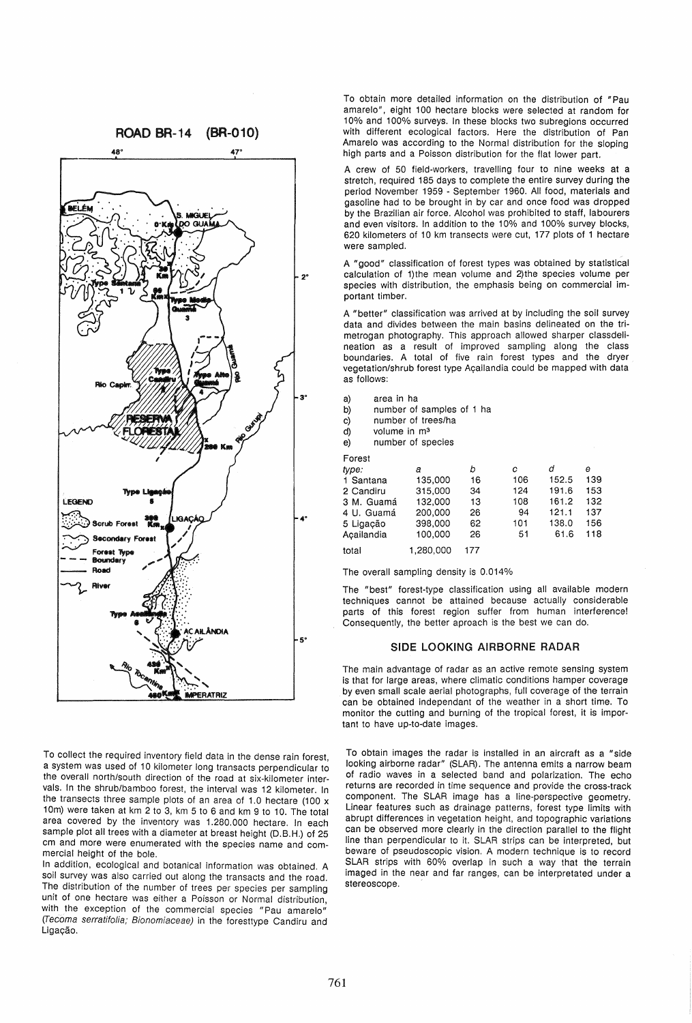

To collect the required inventory field data in the dense rain forest a system was used of 10 kilometer long transacts perpendicular to the overall north/south direction of the road at six-kilometer intervals. In the shrub/bamboo forest, the interval was 12 kilometer. In the transects three sample plots of an area of 1.0 hectare (100 x 10m) were taken at km 2 to 3, km 5 to 6 and km 9 to 10. The total area covered by the inventory was 1.280.000 hectare. In each sample plot all trees with a diameter at breast height (D.B.H.) of 25 cm and more were enumerated with the species name and commercial height of the bole.

In addition, ecological and botanical information was obtained. A soil survey was also carried out along the transacts and the road. The distribution of the number of trees per species per sampling unit of one hectare was either a Poisson or Normal distribution with the exception of the commercial species "Pau amarelo" (recoma serratifolia; Bionomiaceae) in the foresttype Candiru and Ligação.

To obtain more detailed information on the distribution of "Pau amarelo", eight 100 hectare blocks were selected at random for 10% and 100% surveys. In these blocks two subregions occurred with different ecological factors. Here the distribution of Pan Amarelo was according to the Normal distribution for the sloping high parts and a Poisson distribution for the flat lower part.

A crew of 50 field-workers, travelling four to nine weeks at a stretch, required 185 days to complete the entire survey during the period November 1959 - September 1960. All food, materials and gasoline had to be brought in by car and once food was dropped by the Brazilian air force. Alcohol was prohibited to staff, labourers and even visitors. In addition to the 10% and 100% survey blocks, 620 kilometers of 10 km transects were cut, 177 plots of 1 hectare were sampled.

A "good" classification of forest types was obtained by statistical 20 calculation of 1)the mean volume and 2)the species volume per species with distribution, the emphasis being on commercial important timber.

> A "better" classification was arrived at by including the soil survey data and divides between the main basins delineated on the trimetrogan photography. This approach allowed sharper classdelineation as a result of improved sampling along the class boundaries. A total of five rain forest types and the dryer vegetation/shrub forest type Açailandia could be mapped with data as follows:

| area in ha<br>a) |  |
|------------------|--|
|------------------|--|

- b) number of samples of 1 ha
- c) number of trees/ha
- d) volume in m3
- e) number of species

| Forest     |           |     |     |       |     |
|------------|-----------|-----|-----|-------|-----|
| type:      | а         | b   | с   | d     | е   |
| 1 Santana  | 135,000   | 16  | 106 | 152.5 | 139 |
| 2 Candiru  | 315,000   | 34  | 124 | 191.6 | 153 |
| 3 M. Guamá | 132,000   | 13  | 108 | 161.2 | 132 |
| 4 U. Guamá | 200,000   | 26  | 94  | 121.1 | 137 |
| 5 Ligação  | 398,000   | 62  | 101 | 138.0 | 156 |
| Acailandia | 100.000   | 26  | 51  | 61.6  | 118 |
| total      | 1.280.000 | 177 |     |       |     |

The overall sampling density is 0.014%

The "best" forest-type classification using all available modern techniques cannot be attained because actually considerable parts of this forest region suffer from human interference! Consequently, the better aproach is the best we can do.

#### SIDE LOOKING AIRBORNE RADAR

The main advantage of radar as an active remote sensing system is that for large areas, where climatic conditions hamper coverage by even small scale aerial photographs, full coverage of the terrain can be obtained independant of the weather in a short time. To monitor the cutting and burning of the tropical forest, it is important to have up-to-date images.

To obtain images the radar is installed in an aircraft as a "side looking airborne radar" (SLAR). The antenna emits a narrow beam of radio waves in a selected band and polarization. The echo returns are recorded in time sequence and provide the cross-track component. The SLAR image has a line-perspective geometry. Linear features such as drainage patterns, forest type limits with abrupt differences in vegetation height, and topographic variations can be observed more clearly in the direction parallel to the flight line than perpendicular to it. SLAR strips can be interpreted, but beware of pseudoscopic vision. A modern technique is to record SLAR strips with 60% overlap in such a way that the terrain imaged in the near and far ranges, can be interpretated under a stereoscope.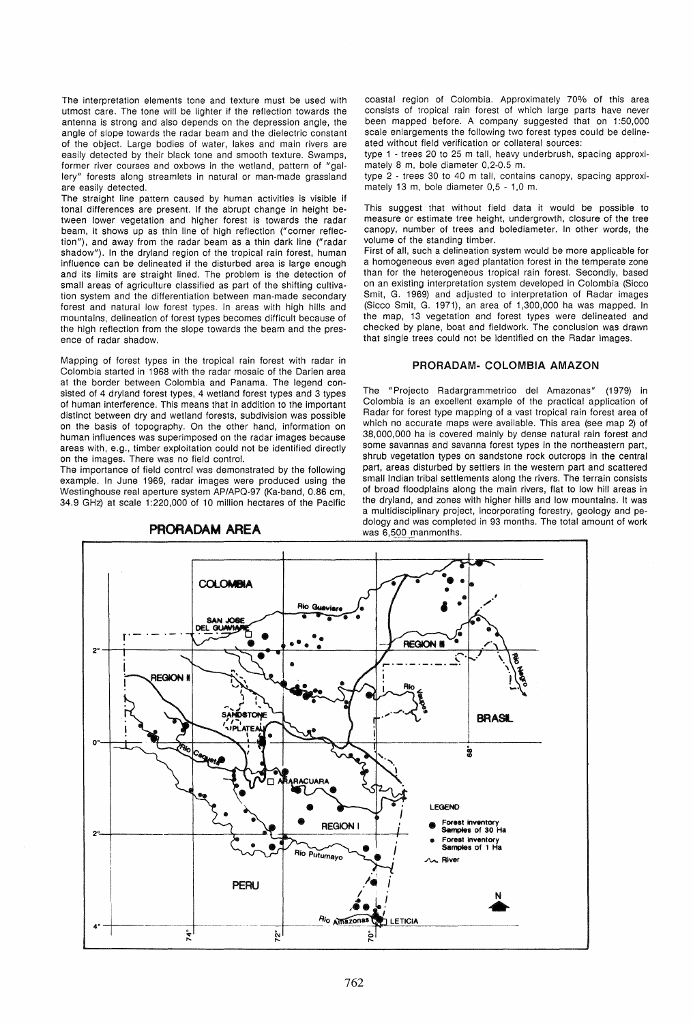The interpretation elements tone and texture must be used with utmost care. The tone will be lighter if the reflection towards the antenna is strong and also depends on the depression angle, the angle of slope towards the radar beam and the dielectric constant of the object. Large bodies of water, lakes and main rivers are easily detected by their black tone and smooth texture. Swamps, former river courses and oxbows in the wetland, pattern of "gallery" forests along streamlets in natural or man-made grassland are easily detected.

The straight line pattern caused by human activities is visible if tonal differences are present. If the abrupt change in height between lower vegetation and higher forest is towards the radar beam, it shows up as thin line of high reflection ("corner reflection"), and away from the radar beam as a thin dark line ("radar shadow"). In the dryland region of the tropical rain forest, human influence can be delineated if the disturbed area is large enough and its limits are straight lined. The problem is the detection of small areas of agriculture classified as part of the shifting cultivation system and the differentiation between man-made secondary forest and natural low forest types. In areas with high hills and mountains, delineation of forest types becomes difficult because of the high reflection from the slope towards the beam and the presence of radar shadow.

Mapping of forest types in the tropical rain forest with radar in Colombia started in 1968 with the radar mosaic of the Darien area at the border between Colombia and Panama. The legend consisted of 4 dryland forest types, 4 wetland forest types and 3 types of human interference. This means that in addition to the important distinct between dry and wetland forests, subdivision was possible on the basis of topography. On the other hand, information on human influences was superimposed on the radar images because areas with, e.g., timber exploitation could not be identified directly on the images. There was no field control.

The importance of field control was demonstrated by the following example. In June 1969, radar images were produced using the Westinghouse real aperture system AP/APQ-97 (Ka-band, 0.86 cm, 34.9 GHz) at scale 1 :220,000 of 10 million hectares of the Pacific



### PRORADAM AREA

coastal region of Colombia. Approximately 70% of this area consists of tropical rain forest of which large parts have never been mapped before. A company suggested that on 1:50,000 scale enlargements the following two forest types could be delineated without field verification or collateral sources:

type 1 - trees 20 to 25 m tall, heavy underbrush, spacing approximately 8 m, bole diameter 0,2-0.5 m.

type 2 - trees 30 to 40 m tall, contains canopy, spacing approximately 13 m, bole diameter 0,5 - 1,0 m.

This suggest that without field data it would be possible to measure or estimate tree height, undergrowth, closure of the tree canopy, number of trees and bolediameter. In other words, the volume of the standing timber.

First of all, such a delineation system would be more applicable for a homogeneous even aged plantation forest in the temperate zone than for the heterogeneous tropical rain forest. Secondly, based on an existing interpretation system developed in Colombia (Sicco Smit, G. 1969) and adjusted to interpretation of Radar images (Sicco Smit, G. 1971), an area of 1,300,000 ha was mapped. In the map, 13 vegetation and forest types were delineated and checked by plane, boat and fieldwork. The conclusion was drawn that single trees could not be identified on the Radar images.

### PRORADAM- COLOMBIA AMAZON

The "Projecto Radargrammetrico del Amazonas" (1979) in Colombia is an excellent example of the practical application of Radar for forest type mapping of a vast tropical rain forest area of which no accurate maps were available. This area (see map 2) of 38,000,000 ha is covered mainly by dense natural rain forest and some savannas and savanna forest types in the northeastern part, shrub vegetation types on sandstone rock outcrops in the central part, areas disturbed by settlers in the western part and scattered small Indian tribal settlements along the rivers. The terrain consists of broad floodplains along the main rivers, flat to low hill areas in the dryland, and zones with higher hills and low mountains. It was a multidisciplinary project, incorporating forestry, geology and pedology and was completed in 93 months. The total amount of work was 6,500 manmonths.